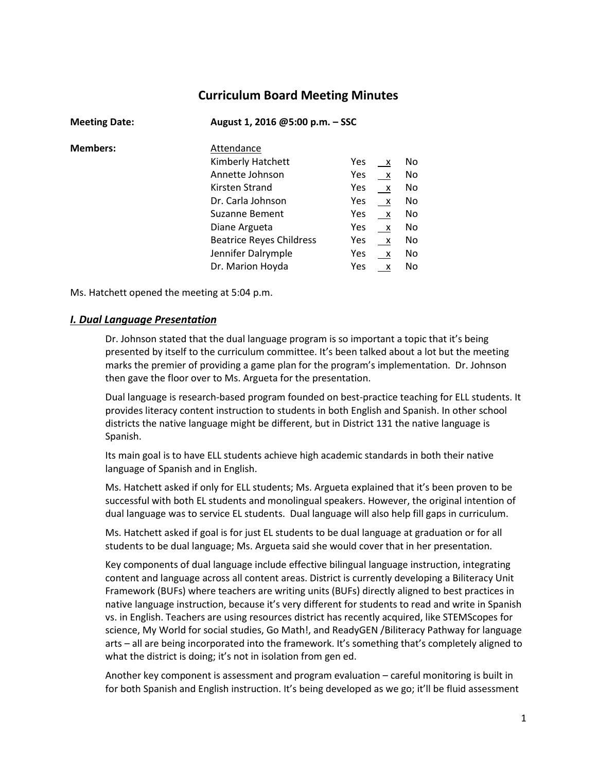# **Curriculum Board Meeting Minutes**

| <b>Meeting Date:</b> | August 1, 2016 @5:00 p.m. - SSC |            |              |     |
|----------------------|---------------------------------|------------|--------------|-----|
| <b>Members:</b>      | Attendance                      |            |              |     |
|                      | Kimberly Hatchett               | <b>Yes</b> | $\mathsf{X}$ | No  |
|                      | Annette Johnson                 | Yes        | $\mathsf{X}$ | No. |
|                      | Kirsten Strand                  | Yes        | $\mathsf{X}$ | No. |
|                      | Dr. Carla Johnson               | <b>Yes</b> | $\mathsf{X}$ | No  |
|                      | <b>Suzanne Bement</b>           | <b>Yes</b> | $\mathsf{X}$ | No  |
|                      | Diane Argueta                   | Yes        | $\mathsf{X}$ | No  |
|                      | <b>Beatrice Reyes Childress</b> | <b>Yes</b> | $\mathsf{X}$ | No  |
|                      | Jennifer Dalrymple              | Yes        | $\mathsf{X}$ | No  |
|                      | Dr. Marion Hoyda                | Yes        | X            | No. |

Ms. Hatchett opened the meeting at 5:04 p.m.

#### *I. Dual Language Presentation*

Dr. Johnson stated that the dual language program is so important a topic that it's being presented by itself to the curriculum committee. It's been talked about a lot but the meeting marks the premier of providing a game plan for the program's implementation. Dr. Johnson then gave the floor over to Ms. Argueta for the presentation.

Dual language is research-based program founded on best-practice teaching for ELL students. It provides literacy content instruction to students in both English and Spanish. In other school districts the native language might be different, but in District 131 the native language is Spanish.

Its main goal is to have ELL students achieve high academic standards in both their native language of Spanish and in English.

Ms. Hatchett asked if only for ELL students; Ms. Argueta explained that it's been proven to be successful with both EL students and monolingual speakers. However, the original intention of dual language was to service EL students. Dual language will also help fill gaps in curriculum.

Ms. Hatchett asked if goal is for just EL students to be dual language at graduation or for all students to be dual language; Ms. Argueta said she would cover that in her presentation.

Key components of dual language include effective bilingual language instruction, integrating content and language across all content areas. District is currently developing a Biliteracy Unit Framework (BUFs) where teachers are writing units (BUFs) directly aligned to best practices in native language instruction, because it's very different for students to read and write in Spanish vs. in English. Teachers are using resources district has recently acquired, like STEMScopes for science, My World for social studies, Go Math!, and ReadyGEN /Biliteracy Pathway for language arts – all are being incorporated into the framework. It's something that's completely aligned to what the district is doing; it's not in isolation from gen ed.

Another key component is assessment and program evaluation – careful monitoring is built in for both Spanish and English instruction. It's being developed as we go; it'll be fluid assessment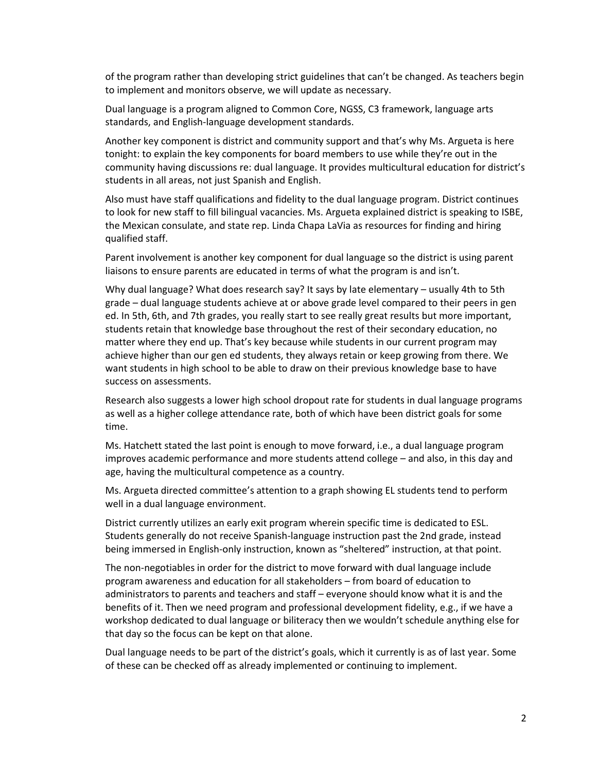of the program rather than developing strict guidelines that can't be changed. As teachers begin to implement and monitors observe, we will update as necessary.

Dual language is a program aligned to Common Core, NGSS, C3 framework, language arts standards, and English-language development standards.

Another key component is district and community support and that's why Ms. Argueta is here tonight: to explain the key components for board members to use while they're out in the community having discussions re: dual language. It provides multicultural education for district's students in all areas, not just Spanish and English.

Also must have staff qualifications and fidelity to the dual language program. District continues to look for new staff to fill bilingual vacancies. Ms. Argueta explained district is speaking to ISBE, the Mexican consulate, and state rep. Linda Chapa LaVia as resources for finding and hiring qualified staff.

Parent involvement is another key component for dual language so the district is using parent liaisons to ensure parents are educated in terms of what the program is and isn't.

Why dual language? What does research say? It says by late elementary – usually 4th to 5th grade – dual language students achieve at or above grade level compared to their peers in gen ed. In 5th, 6th, and 7th grades, you really start to see really great results but more important, students retain that knowledge base throughout the rest of their secondary education, no matter where they end up. That's key because while students in our current program may achieve higher than our gen ed students, they always retain or keep growing from there. We want students in high school to be able to draw on their previous knowledge base to have success on assessments.

Research also suggests a lower high school dropout rate for students in dual language programs as well as a higher college attendance rate, both of which have been district goals for some time.

Ms. Hatchett stated the last point is enough to move forward, i.e., a dual language program improves academic performance and more students attend college – and also, in this day and age, having the multicultural competence as a country.

Ms. Argueta directed committee's attention to a graph showing EL students tend to perform well in a dual language environment.

District currently utilizes an early exit program wherein specific time is dedicated to ESL. Students generally do not receive Spanish-language instruction past the 2nd grade, instead being immersed in English-only instruction, known as "sheltered" instruction, at that point.

The non-negotiables in order for the district to move forward with dual language include program awareness and education for all stakeholders – from board of education to administrators to parents and teachers and staff – everyone should know what it is and the benefits of it. Then we need program and professional development fidelity, e.g., if we have a workshop dedicated to dual language or biliteracy then we wouldn't schedule anything else for that day so the focus can be kept on that alone.

Dual language needs to be part of the district's goals, which it currently is as of last year. Some of these can be checked off as already implemented or continuing to implement.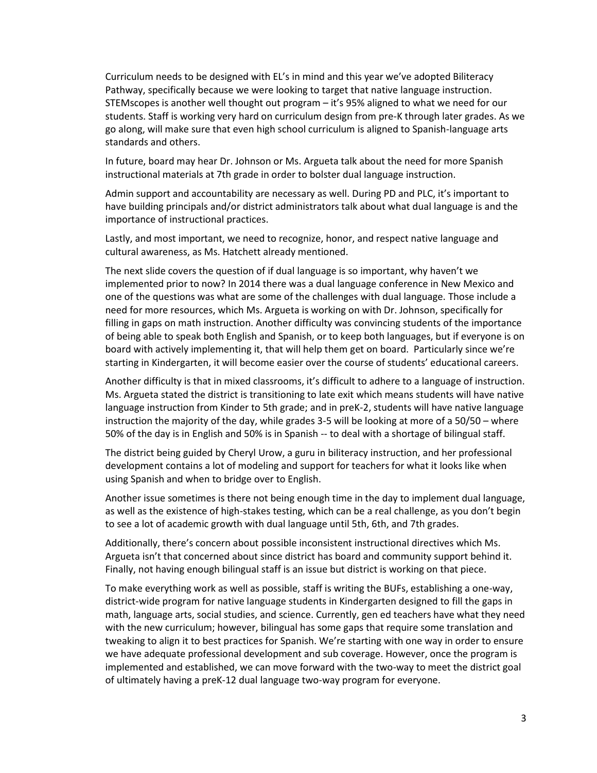Curriculum needs to be designed with EL's in mind and this year we've adopted Biliteracy Pathway, specifically because we were looking to target that native language instruction. STEMscopes is another well thought out program – it's 95% aligned to what we need for our students. Staff is working very hard on curriculum design from pre-K through later grades. As we go along, will make sure that even high school curriculum is aligned to Spanish-language arts standards and others.

In future, board may hear Dr. Johnson or Ms. Argueta talk about the need for more Spanish instructional materials at 7th grade in order to bolster dual language instruction.

Admin support and accountability are necessary as well. During PD and PLC, it's important to have building principals and/or district administrators talk about what dual language is and the importance of instructional practices.

Lastly, and most important, we need to recognize, honor, and respect native language and cultural awareness, as Ms. Hatchett already mentioned.

The next slide covers the question of if dual language is so important, why haven't we implemented prior to now? In 2014 there was a dual language conference in New Mexico and one of the questions was what are some of the challenges with dual language. Those include a need for more resources, which Ms. Argueta is working on with Dr. Johnson, specifically for filling in gaps on math instruction. Another difficulty was convincing students of the importance of being able to speak both English and Spanish, or to keep both languages, but if everyone is on board with actively implementing it, that will help them get on board. Particularly since we're starting in Kindergarten, it will become easier over the course of students' educational careers.

Another difficulty is that in mixed classrooms, it's difficult to adhere to a language of instruction. Ms. Argueta stated the district is transitioning to late exit which means students will have native language instruction from Kinder to 5th grade; and in preK-2, students will have native language instruction the majority of the day, while grades 3-5 will be looking at more of a 50/50 – where 50% of the day is in English and 50% is in Spanish -- to deal with a shortage of bilingual staff.

The district being guided by Cheryl Urow, a guru in biliteracy instruction, and her professional development contains a lot of modeling and support for teachers for what it looks like when using Spanish and when to bridge over to English.

Another issue sometimes is there not being enough time in the day to implement dual language, as well as the existence of high-stakes testing, which can be a real challenge, as you don't begin to see a lot of academic growth with dual language until 5th, 6th, and 7th grades.

Additionally, there's concern about possible inconsistent instructional directives which Ms. Argueta isn't that concerned about since district has board and community support behind it. Finally, not having enough bilingual staff is an issue but district is working on that piece.

To make everything work as well as possible, staff is writing the BUFs, establishing a one-way, district-wide program for native language students in Kindergarten designed to fill the gaps in math, language arts, social studies, and science. Currently, gen ed teachers have what they need with the new curriculum; however, bilingual has some gaps that require some translation and tweaking to align it to best practices for Spanish. We're starting with one way in order to ensure we have adequate professional development and sub coverage. However, once the program is implemented and established, we can move forward with the two-way to meet the district goal of ultimately having a preK-12 dual language two-way program for everyone.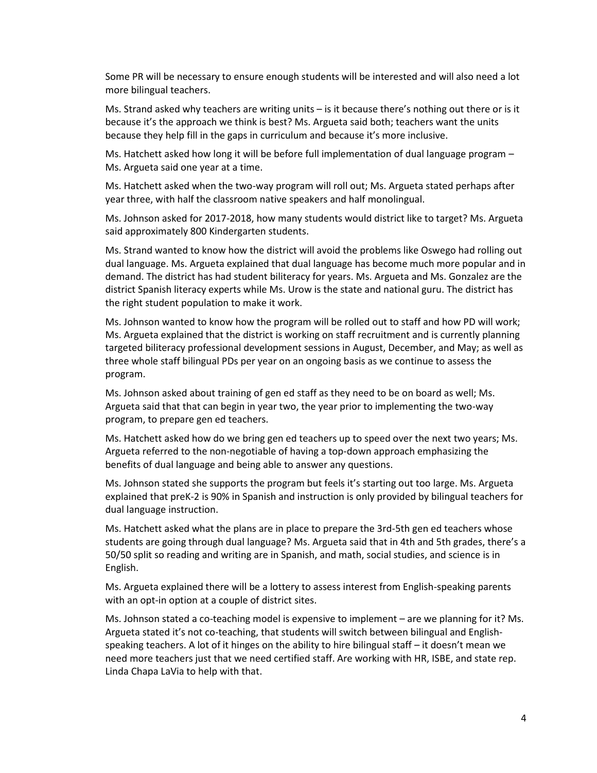Some PR will be necessary to ensure enough students will be interested and will also need a lot more bilingual teachers.

Ms. Strand asked why teachers are writing units – is it because there's nothing out there or is it because it's the approach we think is best? Ms. Argueta said both; teachers want the units because they help fill in the gaps in curriculum and because it's more inclusive.

Ms. Hatchett asked how long it will be before full implementation of dual language program – Ms. Argueta said one year at a time.

Ms. Hatchett asked when the two-way program will roll out; Ms. Argueta stated perhaps after year three, with half the classroom native speakers and half monolingual.

Ms. Johnson asked for 2017-2018, how many students would district like to target? Ms. Argueta said approximately 800 Kindergarten students.

Ms. Strand wanted to know how the district will avoid the problems like Oswego had rolling out dual language. Ms. Argueta explained that dual language has become much more popular and in demand. The district has had student biliteracy for years. Ms. Argueta and Ms. Gonzalez are the district Spanish literacy experts while Ms. Urow is the state and national guru. The district has the right student population to make it work.

Ms. Johnson wanted to know how the program will be rolled out to staff and how PD will work; Ms. Argueta explained that the district is working on staff recruitment and is currently planning targeted biliteracy professional development sessions in August, December, and May; as well as three whole staff bilingual PDs per year on an ongoing basis as we continue to assess the program.

Ms. Johnson asked about training of gen ed staff as they need to be on board as well; Ms. Argueta said that that can begin in year two, the year prior to implementing the two-way program, to prepare gen ed teachers.

Ms. Hatchett asked how do we bring gen ed teachers up to speed over the next two years; Ms. Argueta referred to the non-negotiable of having a top-down approach emphasizing the benefits of dual language and being able to answer any questions.

Ms. Johnson stated she supports the program but feels it's starting out too large. Ms. Argueta explained that preK-2 is 90% in Spanish and instruction is only provided by bilingual teachers for dual language instruction.

Ms. Hatchett asked what the plans are in place to prepare the 3rd-5th gen ed teachers whose students are going through dual language? Ms. Argueta said that in 4th and 5th grades, there's a 50/50 split so reading and writing are in Spanish, and math, social studies, and science is in English.

Ms. Argueta explained there will be a lottery to assess interest from English-speaking parents with an opt-in option at a couple of district sites.

Ms. Johnson stated a co-teaching model is expensive to implement – are we planning for it? Ms. Argueta stated it's not co-teaching, that students will switch between bilingual and Englishspeaking teachers. A lot of it hinges on the ability to hire bilingual staff – it doesn't mean we need more teachers just that we need certified staff. Are working with HR, ISBE, and state rep. Linda Chapa LaVia to help with that.